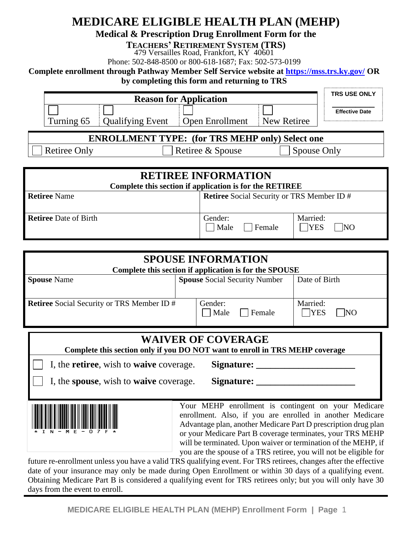# **MEDICARE ELIGIBLE HEALTH PLAN (MEHP)**

**Medical & Prescription Drug Enrollment Form for the** 

**TEACHERS' RETIREMENT SYSTEM (TRS)**

479 Versailles Road, Frankfort, KY 40601

Phone: 502-848-8500 or 800-618-1687; Fax: 502-573-0199

**Complete enrollment through Pathway Member Self Service website at<https://mss.trs.ky.gov/> OR**

**by completing this form and returning to TRS**

|                     |                         | <b>Reason for Application</b>                           |                                                                                                                                                            | <b>TRS USE ONLY</b>   |
|---------------------|-------------------------|---------------------------------------------------------|------------------------------------------------------------------------------------------------------------------------------------------------------------|-----------------------|
| Turning 65          | <b>Qualifying Event</b> | <b>Open Enrollment</b>                                  | New Retiree                                                                                                                                                | <b>Effective Date</b> |
|                     |                         | <b>ENROLLMENT TYPE:</b> (for TRS MEHP only) Select one  |                                                                                                                                                            |                       |
| <b>Retiree Only</b> |                         | Retiree & Spouse                                        | Spouse Only                                                                                                                                                |                       |
|                     |                         |                                                         |                                                                                                                                                            |                       |
|                     |                         | <b>RETIREE INFORMATION</b>                              |                                                                                                                                                            |                       |
|                     |                         | Complete this section if application is for the RETIREE |                                                                                                                                                            |                       |
| $Dof:mon Nama$      |                         |                                                         | $D_{\text{eff}}$ $\Omega_{\text{coul}}$ $\Omega_{\text{coul}}$ $\Omega_{\text{coul}}$ $\Omega_{\text{coul}}$ $\Omega_{\text{coul}}$ $\Omega_{\text{coul}}$ |                       |

| <b>Retiree</b> Name          | <b>Retiree</b> Social Security or TRS Member ID # |                               |
|------------------------------|---------------------------------------------------|-------------------------------|
| <b>Retiree</b> Date of Birth | Gender:<br>Male<br>Female                         | Married:<br><b>IYES</b><br>NO |

|                                                                              | <b>SPOUSE INFORMATION</b>                                                                                                           |                  |
|------------------------------------------------------------------------------|-------------------------------------------------------------------------------------------------------------------------------------|------------------|
|                                                                              | Complete this section if application is for the SPOUSE                                                                              |                  |
| <b>Spouse Name</b>                                                           | <b>Spouse Social Security Number</b>                                                                                                | Date of Birth    |
|                                                                              |                                                                                                                                     |                  |
| <b>Retiree</b> Social Security or TRS Member ID #                            | Gender:                                                                                                                             | Married:         |
|                                                                              | Male<br>Female                                                                                                                      | $\neg$ YES<br>NO |
|                                                                              |                                                                                                                                     |                  |
|                                                                              | <b>WAIVER OF COVERAGE</b>                                                                                                           |                  |
| Complete this section only if you DO NOT want to enroll in TRS MEHP coverage |                                                                                                                                     |                  |
| I, the <b>retiree</b> , wish to <b>waive</b> coverage.                       | Signature:                                                                                                                          |                  |
| I, the spouse, wish to waive coverage.                                       | Signature:                                                                                                                          |                  |
|                                                                              |                                                                                                                                     |                  |
|                                                                              | Your MEHP enrollment is contingent on your Medicare                                                                                 |                  |
|                                                                              | enrollment. Also, if you are enrolled in another Medicare                                                                           |                  |
|                                                                              | Advantage plan, another Medicare Part D prescription drug plan                                                                      |                  |
|                                                                              | or your Medicare Part B coverage terminates, your TRS MEHP                                                                          |                  |
|                                                                              | will be terminated. Upon waiver or termination of the MEHP, if<br>you are the spouse of a TRS retiree, you will not be eligible for |                  |
|                                                                              |                                                                                                                                     |                  |

future re-enrollment unless you have a valid TRS qualifying event. For TRS retirees, changes after the effective date of your insurance may only be made during Open Enrollment or within 30 days of a qualifying event. Obtaining Medicare Part B is considered a qualifying event for TRS retirees only; but you will only have 30 days from the event to enroll.